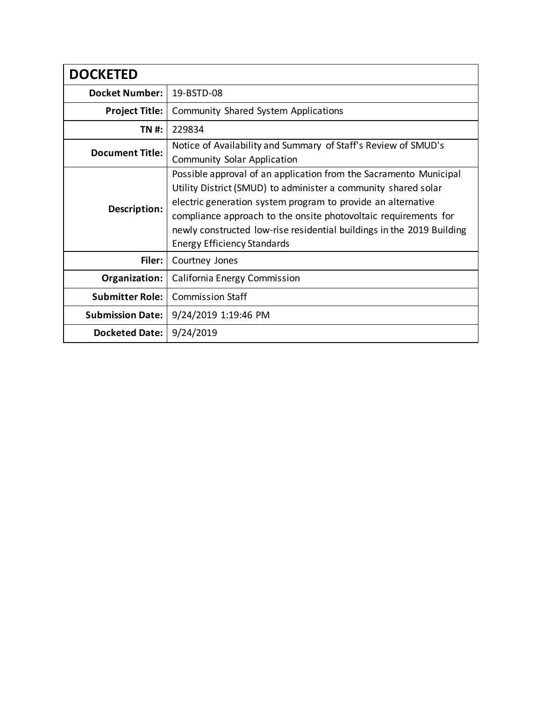| <b>DOCKETED</b>         |                                                                                                                                                                                                                                                                                                                                                                                       |
|-------------------------|---------------------------------------------------------------------------------------------------------------------------------------------------------------------------------------------------------------------------------------------------------------------------------------------------------------------------------------------------------------------------------------|
| <b>Docket Number:</b>   | 19-BSTD-08                                                                                                                                                                                                                                                                                                                                                                            |
| <b>Project Title:</b>   | Community Shared System Applications                                                                                                                                                                                                                                                                                                                                                  |
| TN #:                   | 229834                                                                                                                                                                                                                                                                                                                                                                                |
| <b>Document Title:</b>  | Notice of Availability and Summary of Staff's Review of SMUD's<br><b>Community Solar Application</b>                                                                                                                                                                                                                                                                                  |
| Description:            | Possible approval of an application from the Sacramento Municipal<br>Utility District (SMUD) to administer a community shared solar<br>electric generation system program to provide an alternative<br>compliance approach to the onsite photovoltaic requirements for<br>newly constructed low-rise residential buildings in the 2019 Building<br><b>Energy Efficiency Standards</b> |
| Filer:                  | Courtney Jones                                                                                                                                                                                                                                                                                                                                                                        |
| Organization:           | California Energy Commission                                                                                                                                                                                                                                                                                                                                                          |
| <b>Submitter Role:</b>  | <b>Commission Staff</b>                                                                                                                                                                                                                                                                                                                                                               |
| <b>Submission Date:</b> | 9/24/2019 1:19:46 PM                                                                                                                                                                                                                                                                                                                                                                  |
| Docketed Date:          | 9/24/2019                                                                                                                                                                                                                                                                                                                                                                             |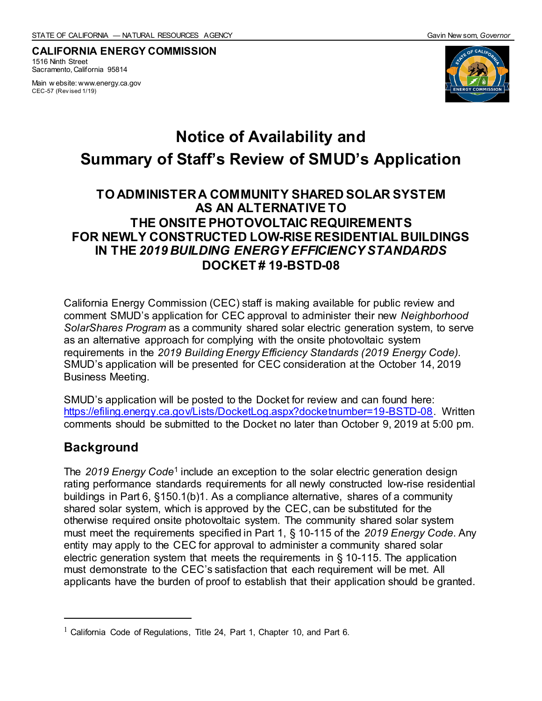**CALIFORNIA ENERGY COMMISSION** 1516 Ninth Street Sacramento, California 95814

Main w ebsite: www.energy.ca.gov CEC-57 (Rev ised 1/19)



# **Notice of Availability and Summary of Staff's Review of SMUD's Application**

#### **TO ADMINISTER A COMMUNITY SHARED SOLAR SYSTEM AS AN ALTERNATIVE TO THE ONSITE PHOTOVOLTAIC REQUIREMENTS FOR NEWLY CONSTRUCTED LOW-RISE RESIDENTIAL BUILDINGS IN THE** *2019 BUILDING ENERGY EFFICIENCY STANDARDS* **DOCKET # 19-BSTD-08**

California Energy Commission (CEC) staff is making available for public review and comment SMUD's application for CEC approval to administer their new *Neighborhood SolarShares Program* as a community shared solar electric generation system, to serve as an alternative approach for complying with the onsite photovoltaic system requirements in the *2019 Building Energy Efficiency Standards (2019 Energy Code)*. SMUD's application will be presented for CEC consideration at the October 14, 2019 Business Meeting.

SMUD's application will be posted to the Docket for review and can found here: [https://efiling.energy.ca.gov/Lists/DocketLog.aspx?docketnumber=19-BSTD-08.](https://efiling.energy.ca.gov/Lists/DocketLog.aspx?docketnumber=19-BSTD-08) Written comments should be submitted to the Docket no later than October 9, 2019 at 5:00 pm.

#### **Background**

The 2019 Energy Code<sup>1</sup> include an exception to the solar electric generation design rating performance standards requirements for all newly constructed low-rise residential buildings in Part 6, §150.1(b)1. As a compliance alternative, shares of a community shared solar system, which is approved by the CEC, can be substituted for the otherwise required onsite photovoltaic system. The community shared solar system must meet the requirements specified in Part 1, § 10-115 of the *2019 Energy Code*. Any entity may apply to the CEC for approval to administer a community shared solar electric generation system that meets the requirements in § 10-115. The application must demonstrate to the CEC's satisfaction that each requirement will be met. All applicants have the burden of proof to establish that their application should be granted.

 $1$  California Code of Regulations, Title 24, Part 1, Chapter 10, and Part 6.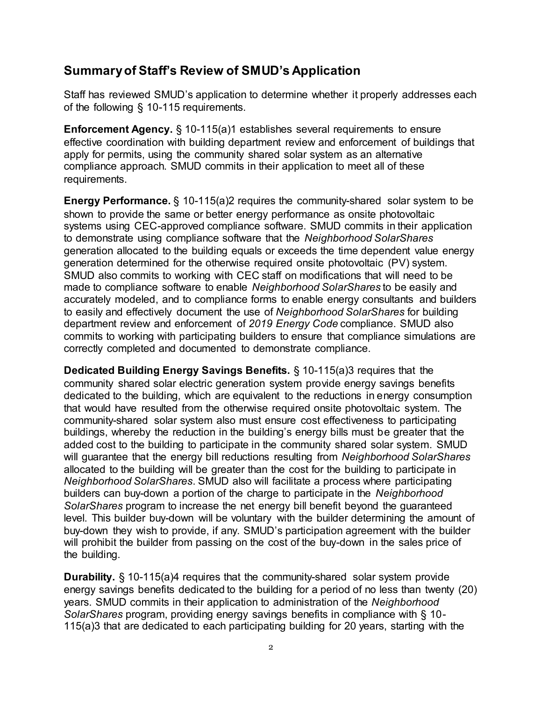#### **Summary of Staff's Review of SMUD's Application**

Staff has reviewed SMUD's application to determine whether it properly addresses each of the following § 10-115 requirements.

**Enforcement Agency.** § 10-115(a)1 establishes several requirements to ensure effective coordination with building department review and enforcement of buildings that apply for permits, using the community shared solar system as an alternative compliance approach. SMUD commits in their application to meet all of these requirements.

**Energy Performance.** § 10-115(a)2 requires the community-shared solar system to be shown to provide the same or better energy performance as onsite photovoltaic systems using CEC-approved compliance software. SMUD commits in their application to demonstrate using compliance software that the *Neighborhood SolarShares*  generation allocated to the building equals or exceeds the time dependent value energy generation determined for the otherwise required onsite photovoltaic (PV) system. SMUD also commits to working with CEC staff on modifications that will need to be made to compliance software to enable *Neighborhood SolarShares* to be easily and accurately modeled, and to compliance forms to enable energy consultants and builders to easily and effectively document the use of *Neighborhood SolarShares* for building department review and enforcement of *2019 Energy Code* compliance. SMUD also commits to working with participating builders to ensure that compliance simulations are correctly completed and documented to demonstrate compliance.

**Dedicated Building Energy Savings Benefits.** § 10-115(a)3 requires that the community shared solar electric generation system provide energy savings benefits dedicated to the building, which are equivalent to the reductions in energy consumption that would have resulted from the otherwise required onsite photovoltaic system. The community-shared solar system also must ensure cost effectiveness to participating buildings, whereby the reduction in the building's energy bills must be greater that the added cost to the building to participate in the community shared solar system. SMUD will guarantee that the energy bill reductions resulting from *Neighborhood SolarShares* allocated to the building will be greater than the cost for the building to participate in *Neighborhood SolarShares*. SMUD also will facilitate a process where participating builders can buy-down a portion of the charge to participate in the *Neighborhood SolarShares* program to increase the net energy bill benefit beyond the guaranteed level. This builder buy-down will be voluntary with the builder determining the amount of buy-down they wish to provide, if any. SMUD's participation agreement with the builder will prohibit the builder from passing on the cost of the buy-down in the sales price of the building.

**Durability.** § 10-115(a)4 requires that the community-shared solar system provide energy savings benefits dedicated to the building for a period of no less than twenty (20) years. SMUD commits in their application to administration of the *Neighborhood SolarShares* program, providing energy savings benefits in compliance with § 10- 115(a)3 that are dedicated to each participating building for 20 years, starting with the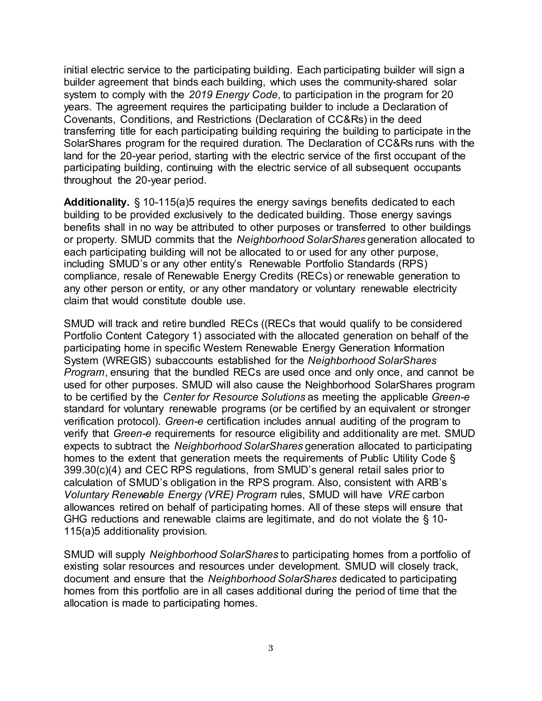initial electric service to the participating building. Each participating builder will sign a builder agreement that binds each building, which uses the community-shared solar system to comply with the *2019 Energy Code*, to participation in the program for 20 years. The agreement requires the participating builder to include a Declaration of Covenants, Conditions, and Restrictions (Declaration of CC&Rs) in the deed transferring title for each participating building requiring the building to participate in the SolarShares program for the required duration. The Declaration of CC&Rs runs with the land for the 20-year period, starting with the electric service of the first occupant of the participating building, continuing with the electric service of all subsequent occupants throughout the 20-year period.

**Additionality.** § 10-115(a)5 requires the energy savings benefits dedicated to each building to be provided exclusively to the dedicated building. Those energy savings benefits shall in no way be attributed to other purposes or transferred to other buildings or property. SMUD commits that the *Neighborhood SolarShares* generation allocated to each participating building will not be allocated to or used for any other purpose, including SMUD's or any other entity's Renewable Portfolio Standards (RPS) compliance, resale of Renewable Energy Credits (RECs) or renewable generation to any other person or entity, or any other mandatory or voluntary renewable electricity claim that would constitute double use.

SMUD will track and retire bundled RECs ((RECs that would qualify to be considered Portfolio Content Category 1) associated with the allocated generation on behalf of the participating home in specific Western Renewable Energy Generation Information System (WREGIS) subaccounts established for the *Neighborhood SolarShares Program*, ensuring that the bundled RECs are used once and only once, and cannot be used for other purposes. SMUD will also cause the Neighborhood SolarShares program to be certified by the *Center for Resource Solutions* as meeting the applicable *Green-e* standard for voluntary renewable programs (or be certified by an equivalent or stronger verification protocol). *Green-e* certification includes annual auditing of the program to verify that *Green-e* requirements for resource eligibility and additionality are met. SMUD expects to subtract the *Neighborhood SolarShares* generation allocated to participating homes to the extent that generation meets the requirements of Public Utility Code § 399.30(c)(4) and CEC RPS regulations, from SMUD's general retail sales prior to calculation of SMUD's obligation in the RPS program. Also, consistent with ARB's *Voluntary Renewable Energy (VRE) Program* rules, SMUD will have *VRE* carbon allowances retired on behalf of participating homes. All of these steps will ensure that GHG reductions and renewable claims are legitimate, and do not violate the § 10- 115(a)5 additionality provision.

SMUD will supply *Neighborhood SolarShares* to participating homes from a portfolio of existing solar resources and resources under development. SMUD will closely track, document and ensure that the *Neighborhood SolarShares* dedicated to participating homes from this portfolio are in all cases additional during the period of time that the allocation is made to participating homes.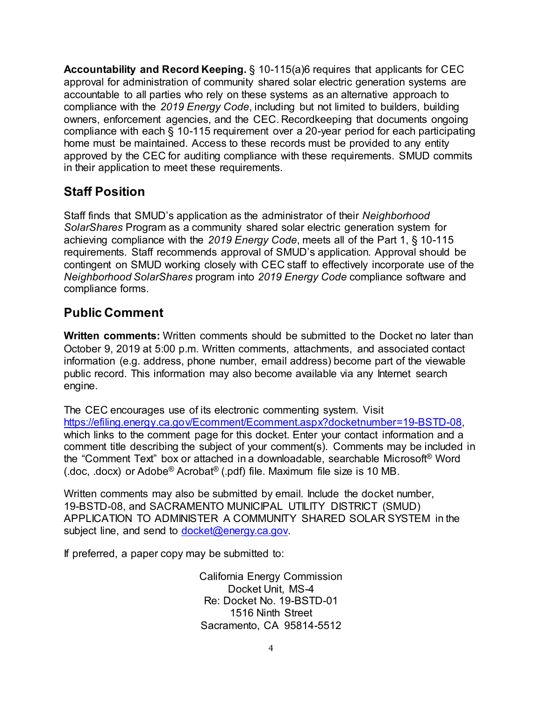**Accountability and Record Keeping.** § 10-115(a)6 requires that applicants for CEC approval for administration of community shared solar electric generation systems are accountable to all parties who rely on these systems as an alternative approach to compliance with the *2019 Energy Code*, including but not limited to builders, building owners, enforcement agencies, and the CEC. Recordkeeping that documents ongoing compliance with each § 10-115 requirement over a 20-year period for each participating home must be maintained. Access to these records must be provided to any entity approved by the CEC for auditing compliance with these requirements. SMUD commits in their application to meet these requirements.

### **Staff Position**

Staff finds that SMUD's application as the administrator of their *Neighborhood SolarShares* Program as a community shared solar electric generation system for achieving compliance with the *2019 Energy Code*, meets all of the Part 1, § 10-115 requirements. Staff recommends approval of SMUD's application. Approval should be contingent on SMUD working closely with CEC staff to effectively incorporate use of the *Neighborhood SolarShares* program into *2019 Energy Code* compliance software and compliance forms.

## **Public Comment**

**Written comments:** Written comments should be submitted to the Docket no later than October 9, 2019 at 5:00 p.m. Written comments, attachments, and associated contact information (e.g. address, phone number, email address) become part of the viewable public record. This information may also become available via any Internet search engine.

The CEC encourages use of its electronic commenting system. Visit [https://efiling.energy.ca.gov/Ecomment/Ecomment.aspx?docketnumber=19-BSTD-08,](https://efiling.energy.ca.gov/Ecomment/Ecomment.aspx?docketnumber=19-BSTD-08)  which links to the comment page for this docket. Enter your contact information and a comment title describing the subject of your comment(s). Comments may be included in the "Comment Text" box or attached in a downloadable, searchable Microsoft® Word (.doc, .docx) or Adobe® Acrobat® (.pdf) file. Maximum file size is 10 MB.

Written comments may also be submitted by email. Include the docket number, 19-BSTD-08, and SACRAMENTO MUNICIPAL UTILITY DISTRICT (SMUD) APPLICATION TO ADMINISTER A COMMUNITY SHARED SOLAR SYSTEM in the subject line, and send to [docket@energy.ca.gov.](mailto:docket@energy.ca.gov)

If preferred, a paper copy may be submitted to:

California Energy Commission Docket Unit, MS-4 Re: Docket No. 19-BSTD-01 1516 Ninth Street Sacramento, CA 95814-5512